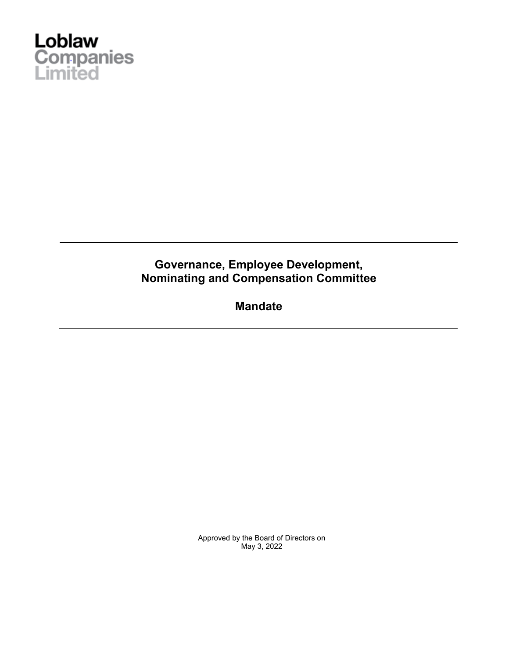

# **Governance, Employee Development, Nominating and Compensation Committee**

**Mandate** 

Approved by the Board of Directors on May 3, 2022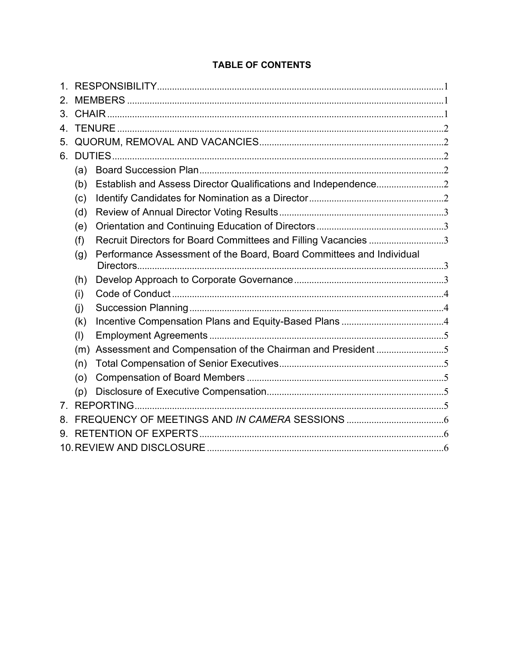# **TABLE OF CONTENTS**

| $\mathbf 1$    |     |                                                                      |  |
|----------------|-----|----------------------------------------------------------------------|--|
| 2.             |     |                                                                      |  |
| $3_{-}$        |     |                                                                      |  |
| 4              |     |                                                                      |  |
| 5.             |     |                                                                      |  |
| 6.             |     |                                                                      |  |
|                | (a) |                                                                      |  |
|                | (b) |                                                                      |  |
|                | (c) |                                                                      |  |
|                | (d) |                                                                      |  |
|                | (e) |                                                                      |  |
|                | (f) | Recruit Directors for Board Committees and Filling Vacancies 3       |  |
|                | (g) | Performance Assessment of the Board, Board Committees and Individual |  |
|                |     |                                                                      |  |
|                | (h) |                                                                      |  |
|                | (i) |                                                                      |  |
|                | (i) |                                                                      |  |
|                | (k) |                                                                      |  |
|                | (1) |                                                                      |  |
|                | (m) | Assessment and Compensation of the Chairman and President 5          |  |
|                | (n) |                                                                      |  |
|                | (0) |                                                                      |  |
|                | (p) |                                                                      |  |
| 7 <sub>1</sub> |     |                                                                      |  |
| 8.             |     |                                                                      |  |
| 9.             |     |                                                                      |  |
|                |     |                                                                      |  |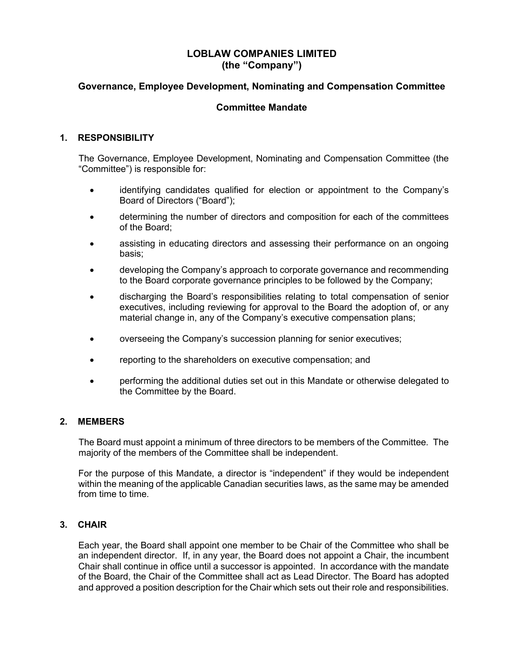## **LOBLAW COMPANIES LIMITED (the "Company")**

## **Governance, Employee Development, Nominating and Compensation Committee**

## **Committee Mandate**

### **1. RESPONSIBILITY**

The Governance, Employee Development, Nominating and Compensation Committee (the "Committee") is responsible for:

- identifying candidates qualified for election or appointment to the Company's Board of Directors ("Board");
- determining the number of directors and composition for each of the committees of the Board;
- assisting in educating directors and assessing their performance on an ongoing basis;
- developing the Company's approach to corporate governance and recommending to the Board corporate governance principles to be followed by the Company;
- discharging the Board's responsibilities relating to total compensation of senior executives, including reviewing for approval to the Board the adoption of, or any material change in, any of the Company's executive compensation plans;
- overseeing the Company's succession planning for senior executives;
- reporting to the shareholders on executive compensation; and
- performing the additional duties set out in this Mandate or otherwise delegated to the Committee by the Board.

#### **2. MEMBERS**

The Board must appoint a minimum of three directors to be members of the Committee. The majority of the members of the Committee shall be independent.

For the purpose of this Mandate, a director is "independent" if they would be independent within the meaning of the applicable Canadian securities laws, as the same may be amended from time to time.

#### **3. CHAIR**

Each year, the Board shall appoint one member to be Chair of the Committee who shall be an independent director. If, in any year, the Board does not appoint a Chair, the incumbent Chair shall continue in office until a successor is appointed. In accordance with the mandate of the Board, the Chair of the Committee shall act as Lead Director. The Board has adopted and approved a position description for the Chair which sets out their role and responsibilities.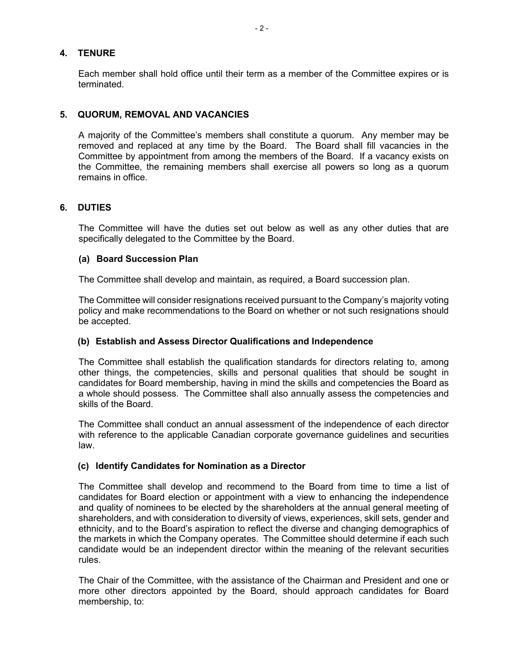#### **4. TENURE**

Each member shall hold office until their term as a member of the Committee expires or is terminated.

#### **5. QUORUM, REMOVAL AND VACANCIES**

A majority of the Committee's members shall constitute a quorum. Any member may be removed and replaced at any time by the Board. The Board shall fill vacancies in the Committee by appointment from among the members of the Board. If a vacancy exists on the Committee, the remaining members shall exercise all powers so long as a quorum remains in office.

#### **6. DUTIES**

The Committee will have the duties set out below as well as any other duties that are specifically delegated to the Committee by the Board.

#### **(a) Board Succession Plan**

The Committee shall develop and maintain, as required, a Board succession plan.

The Committee will consider resignations received pursuant to the Company's majority voting policy and make recommendations to the Board on whether or not such resignations should be accepted.

#### **(b) Establish and Assess Director Qualifications and Independence**

The Committee shall establish the qualification standards for directors relating to, among other things, the competencies, skills and personal qualities that should be sought in candidates for Board membership, having in mind the skills and competencies the Board as a whole should possess. The Committee shall also annually assess the competencies and skills of the Board.

The Committee shall conduct an annual assessment of the independence of each director with reference to the applicable Canadian corporate governance guidelines and securities law.

#### **(c) Identify Candidates for Nomination as a Director**

The Committee shall develop and recommend to the Board from time to time a list of candidates for Board election or appointment with a view to enhancing the independence and quality of nominees to be elected by the shareholders at the annual general meeting of shareholders, and with consideration to diversity of views, experiences, skill sets, gender and ethnicity, and to the Board's aspiration to reflect the diverse and changing demographics of the markets in which the Company operates. The Committee should determine if each such candidate would be an independent director within the meaning of the relevant securities rules.

The Chair of the Committee, with the assistance of the Chairman and President and one or more other directors appointed by the Board, should approach candidates for Board membership, to: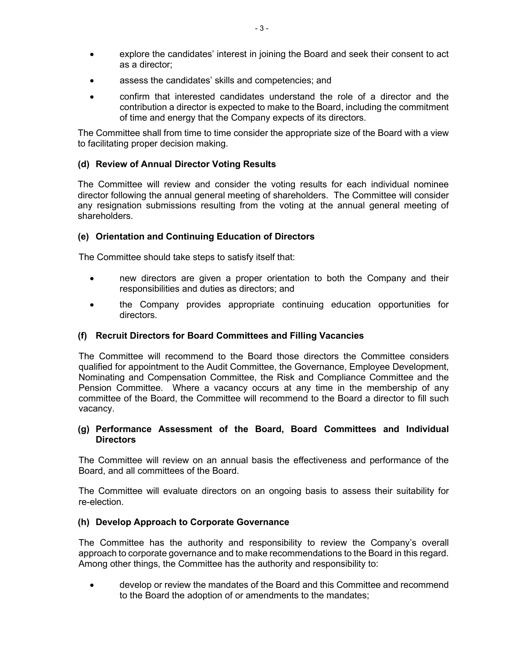- explore the candidates' interest in joining the Board and seek their consent to act as a director;
- assess the candidates' skills and competencies; and
- confirm that interested candidates understand the role of a director and the contribution a director is expected to make to the Board, including the commitment of time and energy that the Company expects of its directors.

The Committee shall from time to time consider the appropriate size of the Board with a view to facilitating proper decision making.

## **(d) Review of Annual Director Voting Results**

The Committee will review and consider the voting results for each individual nominee director following the annual general meeting of shareholders. The Committee will consider any resignation submissions resulting from the voting at the annual general meeting of shareholders.

## **(e) Orientation and Continuing Education of Directors**

The Committee should take steps to satisfy itself that:

- new directors are given a proper orientation to both the Company and their responsibilities and duties as directors; and
- the Company provides appropriate continuing education opportunities for directors.

## **(f) Recruit Directors for Board Committees and Filling Vacancies**

The Committee will recommend to the Board those directors the Committee considers qualified for appointment to the Audit Committee, the Governance, Employee Development, Nominating and Compensation Committee, the Risk and Compliance Committee and the Pension Committee. Where a vacancy occurs at any time in the membership of any committee of the Board, the Committee will recommend to the Board a director to fill such vacancy.

#### **(g) Performance Assessment of the Board, Board Committees and Individual Directors**

The Committee will review on an annual basis the effectiveness and performance of the Board, and all committees of the Board.

The Committee will evaluate directors on an ongoing basis to assess their suitability for re-election.

#### **(h) Develop Approach to Corporate Governance**

The Committee has the authority and responsibility to review the Company's overall approach to corporate governance and to make recommendations to the Board in this regard. Among other things, the Committee has the authority and responsibility to:

• develop or review the mandates of the Board and this Committee and recommend to the Board the adoption of or amendments to the mandates;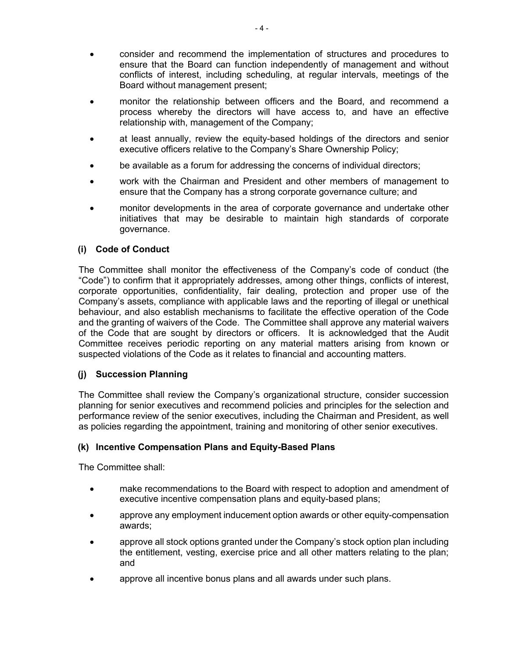- consider and recommend the implementation of structures and procedures to ensure that the Board can function independently of management and without conflicts of interest, including scheduling, at regular intervals, meetings of the Board without management present;
- monitor the relationship between officers and the Board, and recommend a process whereby the directors will have access to, and have an effective relationship with, management of the Company;
- at least annually, review the equity-based holdings of the directors and senior executive officers relative to the Company's Share Ownership Policy;
- be available as a forum for addressing the concerns of individual directors;
- work with the Chairman and President and other members of management to ensure that the Company has a strong corporate governance culture; and
- monitor developments in the area of corporate governance and undertake other initiatives that may be desirable to maintain high standards of corporate governance.

#### **(i) Code of Conduct**

The Committee shall monitor the effectiveness of the Company's code of conduct (the "Code") to confirm that it appropriately addresses, among other things, conflicts of interest, corporate opportunities, confidentiality, fair dealing, protection and proper use of the Company's assets, compliance with applicable laws and the reporting of illegal or unethical behaviour, and also establish mechanisms to facilitate the effective operation of the Code and the granting of waivers of the Code. The Committee shall approve any material waivers of the Code that are sought by directors or officers. It is acknowledged that the Audit Committee receives periodic reporting on any material matters arising from known or suspected violations of the Code as it relates to financial and accounting matters.

#### **(j) Succession Planning**

The Committee shall review the Company's organizational structure, consider succession planning for senior executives and recommend policies and principles for the selection and performance review of the senior executives, including the Chairman and President, as well as policies regarding the appointment, training and monitoring of other senior executives.

#### **(k) Incentive Compensation Plans and Equity-Based Plans**

The Committee shall:

- make recommendations to the Board with respect to adoption and amendment of executive incentive compensation plans and equity-based plans;
- approve any employment inducement option awards or other equity-compensation awards;
- approve all stock options granted under the Company's stock option plan including the entitlement, vesting, exercise price and all other matters relating to the plan; and
- approve all incentive bonus plans and all awards under such plans.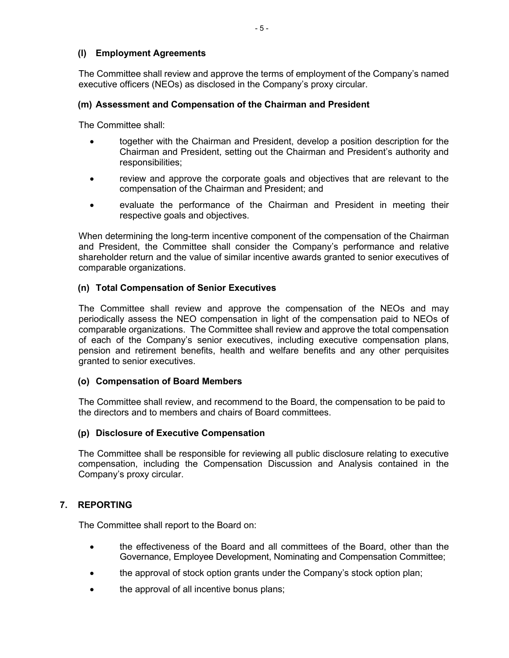## **(l) Employment Agreements**

The Committee shall review and approve the terms of employment of the Company's named executive officers (NEOs) as disclosed in the Company's proxy circular.

## **(m) Assessment and Compensation of the Chairman and President**

The Committee shall:

- together with the Chairman and President, develop a position description for the Chairman and President, setting out the Chairman and President's authority and responsibilities;
- review and approve the corporate goals and objectives that are relevant to the compensation of the Chairman and President; and
- evaluate the performance of the Chairman and President in meeting their respective goals and objectives.

When determining the long-term incentive component of the compensation of the Chairman and President, the Committee shall consider the Company's performance and relative shareholder return and the value of similar incentive awards granted to senior executives of comparable organizations.

#### **(n) Total Compensation of Senior Executives**

The Committee shall review and approve the compensation of the NEOs and may periodically assess the NEO compensation in light of the compensation paid to NEOs of comparable organizations. The Committee shall review and approve the total compensation of each of the Company's senior executives, including executive compensation plans, pension and retirement benefits, health and welfare benefits and any other perquisites granted to senior executives.

#### **(o) Compensation of Board Members**

The Committee shall review, and recommend to the Board, the compensation to be paid to the directors and to members and chairs of Board committees.

#### **(p) Disclosure of Executive Compensation**

The Committee shall be responsible for reviewing all public disclosure relating to executive compensation, including the Compensation Discussion and Analysis contained in the Company's proxy circular.

#### **7. REPORTING**

The Committee shall report to the Board on:

- the effectiveness of the Board and all committees of the Board, other than the Governance, Employee Development, Nominating and Compensation Committee;
- the approval of stock option grants under the Company's stock option plan;
- the approval of all incentive bonus plans;